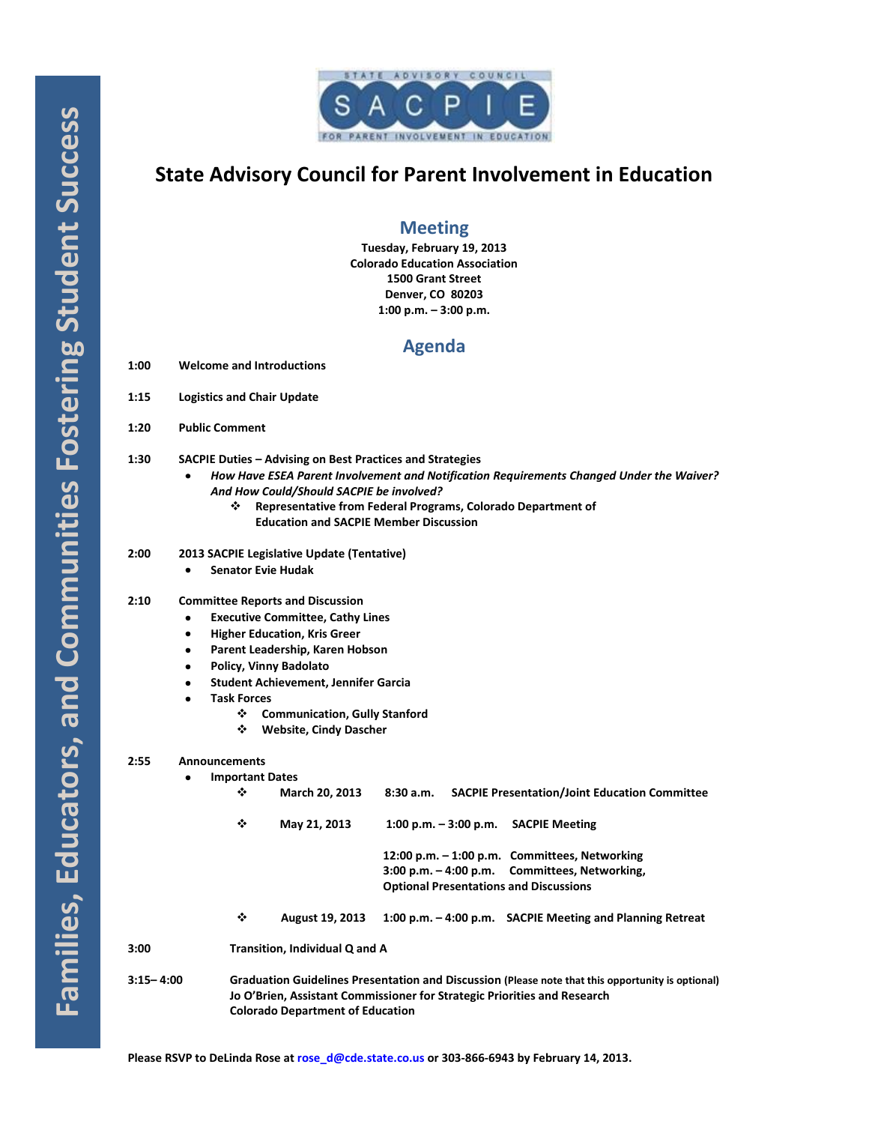

# **State Advisory Council for Parent Involvement in Education**

## **Meeting**

**Tuesday, February 19, 2013 Colorado Education Association 1500 Grant Street Denver, CO 80203 1:00 p.m. – 3:00 p.m.**

## **Agenda**

- **1:00 Welcome and Introductions**
- **1:15 Logistics and Chair Update**
- **1:20 Public Comment**
- **1:30 SACPIE Duties – Advising on Best Practices and Strategies**
	- *How Have ESEA Parent Involvement and Notification Requirements Changed Under the Waiver? And How Could/Should SACPIE be involved?*
		- **Representative from Federal Programs, Colorado Department of Education and SACPIE Member Discussion**

## **2:00 2013 SACPIE Legislative Update (Tentative)**

 $\bullet$ **Senator Evie Hudak**

## **2:10 Committee Reports and Discussion**

- **Executive Committee, Cathy Lines**  $\bullet$
- **Higher Education, Kris Greer**  $\bullet$
- **Parent Leadership, Karen Hobson**  $\bullet$
- **Policy, Vinny Badolato**
- **Student Achievement, Jennifer Garcia**
- **Task Forces**
	- **Communication, Gully Stanford**
	- **Website, Cindy Dascher**

### **2:55 Announcements**

**Important Dates**  $\bullet$ 

|           | ❖                                                                                                                                                                                                                        | <b>March 20, 2013</b>  | 8:30 a.m. |  | <b>SACPIE Presentation/Joint Education Committee</b>     |
|-----------|--------------------------------------------------------------------------------------------------------------------------------------------------------------------------------------------------------------------------|------------------------|-----------|--|----------------------------------------------------------|
|           | ❖                                                                                                                                                                                                                        | May 21, 2013           |           |  | 1:00 p.m. $-$ 3:00 p.m. SACPIE Meeting                   |
|           |                                                                                                                                                                                                                          |                        |           |  | 12:00 p.m. - 1:00 p.m. Committees, Networking            |
|           |                                                                                                                                                                                                                          |                        |           |  | 3:00 p.m. - 4:00 p.m. Committees, Networking,            |
|           | <b>Optional Presentations and Discussions</b>                                                                                                                                                                            |                        |           |  |                                                          |
|           | ❖                                                                                                                                                                                                                        | <b>August 19, 2013</b> |           |  | 1:00 p.m. -4:00 p.m. SACPIE Meeting and Planning Retreat |
| 3:00      | Transition, Individual Q and A                                                                                                                                                                                           |                        |           |  |                                                          |
| 3:15-4:00 | Graduation Guidelines Presentation and Discussion (Please note that this opportunity is optional)<br>Jo O'Brien, Assistant Commissioner for Strategic Priorities and Research<br><b>Colorado Department of Education</b> |                        |           |  |                                                          |